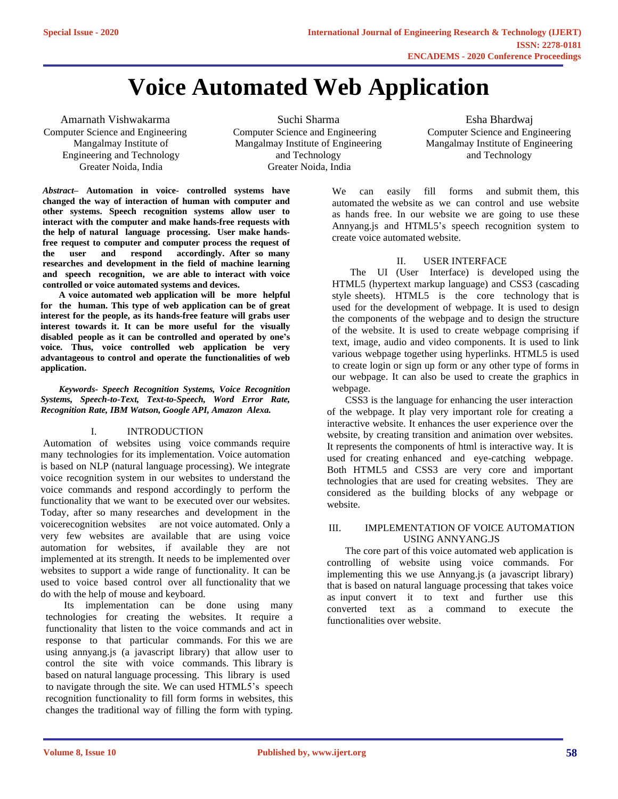# **Voice Automated Web Application**

Amarnath Vishwakarma Computer Science and Engineering Mangalmay Institute of Engineering and Technology Greater Noida, India

Suchi Sharma Computer Science and Engineering Mangalmay Institute of Engineering and Technology Greater Noida, India

Esha Bhardwaj Computer Science and Engineering Mangalmay Institute of Engineering and Technology

*Abstract–* **Automation in voice- controlled systems have changed the way of interaction of human with computer and other systems. Speech recognition systems allow user to interact with the computer and make hands-free requests with the help of natural language processing. User make handsfree request to computer and computer process the request of the user and respond accordingly. After so many researches and development in the field of machine learning and speech recognition, we are able to interact with voice controlled or voice automated systems and devices.**

**A voice automated web application will be more helpful for the human. This type of web application can be of great interest for the people, as its hands-free feature will grabs user interest towards it. It can be more useful for the visually disabled people as it can be controlled and operated by one's voice. Thus, voice controlled web application be very advantageous to control and operate the functionalities of web application.**

*Keywords- Speech Recognition Systems, Voice Recognition Systems, Speech-to-Text, Text-to-Speech, Word Error Rate, Recognition Rate, IBM Watson, Google API, Amazon Alexa.*

## I. INTRODUCTION

Automation of websites using voice commands require many technologies for its implementation. Voice automation is based on NLP (natural language processing). We integrate voice recognition system in our websites to understand the voice commands and respond accordingly to perform the functionality that we want to be executed over our websites. Today, after so many researches and development in the voicerecognition websites are not voice automated. Only a very few websites are available that are using voice automation for websites, if available they are not implemented at its strength. It needs to be implemented over websites to support a wide range of functionality. It can be used to voice based control over all functionality that we do with the help of mouse and keyboard.

Its implementation can be done using many technologies for creating the websites. It require a functionality that listen to the voice commands and act in response to that particular commands. For this we are using annyang.js (a javascript library) that allow user to control the site with voice commands. This library is based on natural language processing. This library is used to navigate through the site. We can used HTML5's speech recognition functionality to fill form forms in websites, this changes the traditional way of filling the form with typing.

We can easily fill forms and submit them, this automated the website as we can control and use website as hands free. In our website we are going to use these Annyang.js and HTML5's speech recognition system to create voice automated website.

## II. USER INTERFACE

The UI (User Interface) is developed using the HTML5 (hypertext markup language) and CSS3 (cascading style sheets). HTML5 is the core technology that is used for the development of webpage. It is used to design the components of the webpage and to design the structure of the website. It is used to create webpage comprising if text, image, audio and video components. It is used to link various webpage together using hyperlinks. HTML5 is used to create login or sign up form or any other type of forms in our webpage. It can also be used to create the graphics in webpage.

CSS3 is the language for enhancing the user interaction of the webpage. It play very important role for creating a interactive website. It enhances the user experience over the website, by creating transition and animation over websites. It represents the components of html is interactive way. It is used for creating enhanced and eye-catching webpage. Both HTML5 and CSS3 are very core and important technologies that are used for creating websites. They are considered as the building blocks of any webpage or website.

#### III. IMPLEMENTATION OF VOICE AUTOMATION USING ANNYANG.JS

The core part of this voice automated web application is controlling of website using voice commands. For implementing this we use Annyang.js (a javascript library) that is based on natural language processing that takes voice as input convert it to text and further use this converted text as a command to execute the functionalities over website.